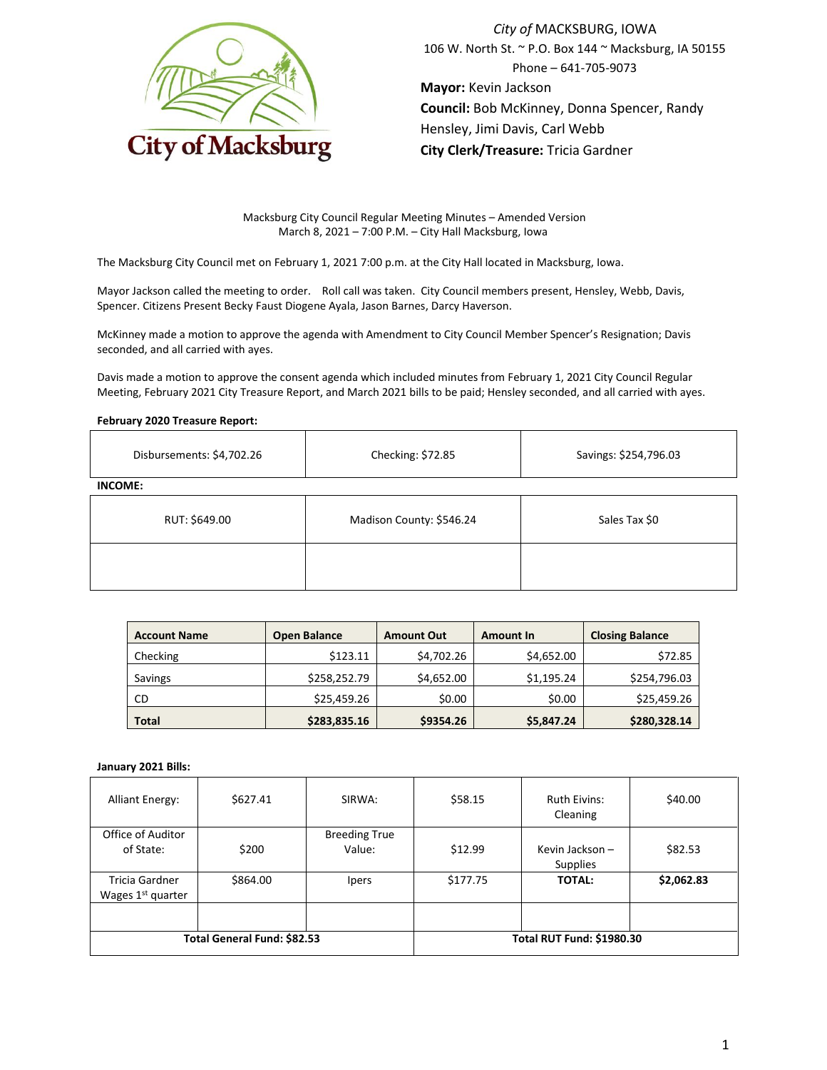

*City of* MACKSBURG, IOWA 106 W. North St. ~ P.O. Box 144 ~ Macksburg, IA 50155 Phone – 641-705-9073 **Mayor:** Kevin Jackson **Council:** Bob McKinney, Donna Spencer, Randy Hensley, Jimi Davis, Carl Webb **City Clerk/Treasure:** Tricia Gardner

Macksburg City Council Regular Meeting Minutes – Amended Version March 8, 2021 – 7:00 P.M. – City Hall Macksburg, Iowa

The Macksburg City Council met on February 1, 2021 7:00 p.m. at the City Hall located in Macksburg, Iowa.

Mayor Jackson called the meeting to order. Roll call was taken. City Council members present, Hensley, Webb, Davis, Spencer. Citizens Present Becky Faust Diogene Ayala, Jason Barnes, Darcy Haverson.

McKinney made a motion to approve the agenda with Amendment to City Council Member Spencer's Resignation; Davis seconded, and all carried with ayes.

Davis made a motion to approve the consent agenda which included minutes from February 1, 2021 City Council Regular Meeting, February 2021 City Treasure Report, and March 2021 bills to be paid; Hensley seconded, and all carried with ayes.

# **February 2020 Treasure Report:**

| Disbursements: \$4,702.26 | Checking: \$72.85        | Savings: \$254,796.03 |  |  |  |  |  |
|---------------------------|--------------------------|-----------------------|--|--|--|--|--|
| <b>INCOME:</b>            |                          |                       |  |  |  |  |  |
| RUT: \$649.00             | Madison County: \$546.24 | Sales Tax \$0         |  |  |  |  |  |
|                           |                          |                       |  |  |  |  |  |

| <b>Account Name</b> | <b>Open Balance</b> | <b>Amount Out</b> | <b>Amount In</b> | <b>Closing Balance</b> |
|---------------------|---------------------|-------------------|------------------|------------------------|
| Checking            | \$123.11            | \$4,702.26        | \$4,652.00       | \$72.85                |
| Savings             | \$258,252.79        | \$4,652.00        | \$1,195.24       | \$254,796.03           |
| CD                  | \$25,459.26         | \$0.00            | \$0.00           | \$25,459.26            |
| <b>Total</b>        | \$283,835.16        | \$9354.26         | \$5,847.24       | \$280,328.14           |

## **January 2021 Bills:**

| <b>Alliant Energy:</b>                                 | \$627.41 | SIRWA:                           | \$58.15  | <b>Ruth Eivins:</b><br>Cleaning    | \$40.00    |
|--------------------------------------------------------|----------|----------------------------------|----------|------------------------------------|------------|
| Office of Auditor                                      |          | <b>Breeding True</b>             |          |                                    |            |
| of State:                                              | \$200    | Value:                           | \$12.99  | Kevin Jackson -<br><b>Supplies</b> | \$82.53    |
| <b>Tricia Gardner</b><br>Wages 1 <sup>st</sup> quarter | \$864.00 | <i>lpers</i>                     | \$177.75 | <b>TOTAL:</b>                      | \$2,062.83 |
|                                                        |          |                                  |          |                                    |            |
| Total General Fund: \$82.53                            |          | <b>Total RUT Fund: \$1980.30</b> |          |                                    |            |